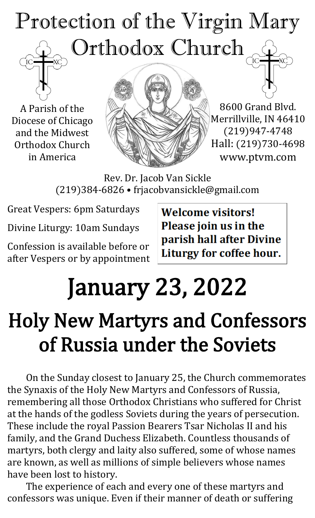## Protection of the Virgin Mary Orthodox Church

A Parish of the Diocese of Chicago and the Midwest Orthodox Church in America



8600 Grand Blvd. Merrillville, IN 46410 (219)947-4748 Hall: (219)730-4698 www.ptvm.com

Rev. Dr. Jacob Van Sickle (219)384-6826 • frjacobvansickle@gmail.com

Great Vespers: 6pm Saturdays

Divine Liturgy: 10am Sundays

Confession is available before or after Vespers or by appointment **Welcome visitors!** Please join us in the parish hall after Divine Liturgy for coffee hour.

## January 23, 2022

### Holy New Martyrs and Confessors of Russia under the Soviets

On the Sunday closest to January 25, the Church commemorates the Synaxis of the Holy New Martyrs and Confessors of Russia, remembering all those Orthodox Christians who suffered for Christ at the hands of the godless Soviets during the years of persecution. These include the royal Passion Bearers Tsar Nicholas II and his family, and the Grand Duchess Elizabeth. Countless thousands of martyrs, both clergy and laity also suffered, some of whose names are known, as well as millions of simple believers whose names have been lost to history.

The experience of each and every one of these martyrs and confessors was unique. Even if their manner of death or suffering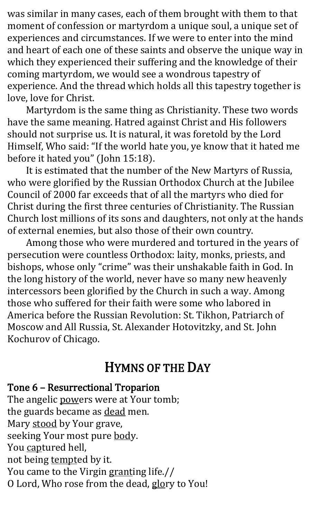was similar in many cases, each of them brought with them to that moment of confession or martyrdom a unique soul, a unique set of experiences and circumstances. If we were to enter into the mind and heart of each one of these saints and observe the unique way in which they experienced their suffering and the knowledge of their coming martyrdom, we would see a wondrous tapestry of experience. And the thread which holds all this tapestry together is love, love for Christ.

Martyrdom is the same thing as Christianity. These two words have the same meaning. Hatred against Christ and His followers should not surprise us. It is natural, it was foretold by the Lord Himself, Who said: "If the world hate you, ye know that it hated me before it hated you" (John 15:18).

It is estimated that the number of the New Martyrs of Russia, who were glorified by the Russian Orthodox Church at the Jubilee Council of 2000 far exceeds that of all the martyrs who died for Christ during the first three centuries of Christianity. The Russian Church lost millions of its sons and daughters, not only at the hands of external enemies, but also those of their own country.

Among those who were murdered and tortured in the years of persecution were countless Orthodox: laity, monks, priests, and bishops, whose only "crime" was their unshakable faith in God. In the long history of the world, never have so many new heavenly intercessors been glorified by the Church in such a way. Among those who suffered for their faith were some who labored in America before the Russian Revolution: St. Tikhon, Patriarch of Moscow and All Russia, St. Alexander Hotovitzky, and St. John Kochurov of Chicago.

#### HYMNS OF THE DAY

Tone 6 – Resurrectional Troparion The angelic powers were at Your tomb; the guards became as dead men. Mary stood by Your grave, seeking Your most pure body. You captured hell, not being tempted by it. You came to the Virgin granting life.// O Lord, Who rose from the dead, glory to You!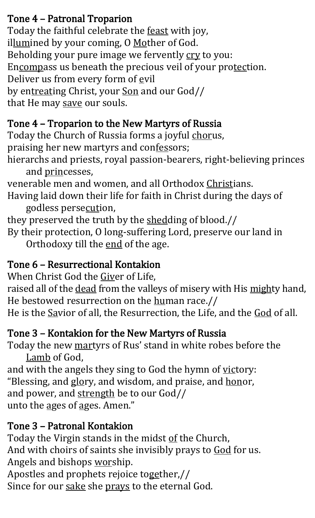#### Tone 4 – Patronal Troparion

Today the faithful celebrate the feast with joy, illumined by your coming, O Mother of God. Beholding your pure image we fervently cry to you: Encompass us beneath the precious veil of your protection. Deliver us from every form of evil by entreating Christ, your Son and our God// that He may save our souls.

#### Tone 4 – Troparion to the New Martyrs of Russia

Today the Church of Russia forms a joyful chorus, praising her new martyrs and confessors;

hierarchs and priests, royal passion-bearers, right-believing princes and princesses,

venerable men and women, and all Orthodox Christians.

Having laid down their life for faith in Christ during the days of godless persecution,

they preserved the truth by the shedding of blood.// By their protection, O long-suffering Lord, preserve our land in

Orthodoxy till the end of the age.

#### Tone 6 – Resurrectional Kontakion

When Christ God the Giver of Life,

raised all of the dead from the valleys of misery with His mighty hand, He bestowed resurrection on the human race.//

He is the Savior of all, the Resurrection, the Life, and the God of all.

#### Tone 3 – Kontakion for the New Martyrs of Russia

Today the new martyrs of Rus' stand in white robes before the Lamb of God,

and with the angels they sing to God the hymn of victory: "Blessing, and glory, and wisdom, and praise, and honor, and power, and strength be to our God// unto the ages of ages. Amen."

#### Tone 3 – Patronal Kontakion

Today the Virgin stands in the midst of the Church, And with choirs of saints she invisibly prays to God for us. Angels and bishops worship. Apostles and prophets rejoice together,// Since for our sake she prays to the eternal God.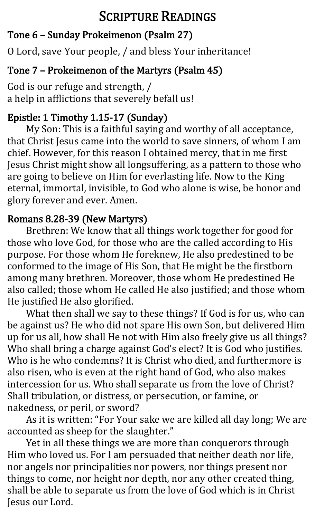#### SCRIPTURE READINGS

#### Tone 6 – Sunday Prokeimenon (Psalm 27)

O Lord, save Your people, / and bless Your inheritance!

#### Tone 7 – Prokeimenon of the Martyrs (Psalm 45)

God is our refuge and strength, / a help in afflictions that severely befall us!

#### Epistle: 1 Timothy 1.15-17 (Sunday)

My Son: This is a faithful saying and worthy of all acceptance, that Christ Jesus came into the world to save sinners, of whom I am chief. However, for this reason I obtained mercy, that in me first Jesus Christ might show all longsuffering, as a pattern to those who are going to believe on Him for everlasting life. Now to the King eternal, immortal, invisible, to God who alone is wise, be honor and glory forever and ever. Amen.

#### Romans 8.28-39 (New Martyrs)

Brethren: We know that all things work together for good for those who love God, for those who are the called according to His purpose. For those whom He foreknew, He also predestined to be conformed to the image of His Son, that He might be the firstborn among many brethren. Moreover, those whom He predestined He also called; those whom He called He also justified; and those whom He justified He also glorified.

What then shall we say to these things? If God is for us, who can be against us? He who did not spare His own Son, but delivered Him up for us all, how shall He not with Him also freely give us all things? Who shall bring a charge against God's elect? It is God who justifies. Who is he who condemns? It is Christ who died, and furthermore is also risen, who is even at the right hand of God, who also makes intercession for us. Who shall separate us from the love of Christ? Shall tribulation, or distress, or persecution, or famine, or nakedness, or peril, or sword?

As it is written: "For Your sake we are killed all day long; We are accounted as sheep for the slaughter."

Yet in all these things we are more than conquerors through Him who loved us. For I am persuaded that neither death nor life, nor angels nor principalities nor powers, nor things present nor things to come, nor height nor depth, nor any other created thing, shall be able to separate us from the love of God which is in Christ Jesus our Lord.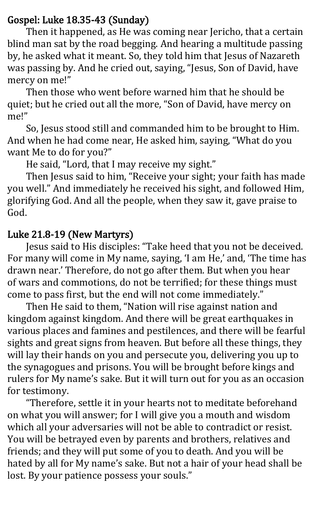#### Gospel: Luke 18.35-43 (Sunday)

Then it happened, as He was coming near Jericho, that a certain blind man sat by the road begging. And hearing a multitude passing by, he asked what it meant. So, they told him that Jesus of Nazareth was passing by. And he cried out, saying, "Jesus, Son of David, have mercy on me!"

Then those who went before warned him that he should be quiet; but he cried out all the more, "Son of David, have mercy on me!"

So, Jesus stood still and commanded him to be brought to Him. And when he had come near, He asked him, saying, "What do you want Me to do for you?"

He said, "Lord, that I may receive my sight."

Then Jesus said to him, "Receive your sight; your faith has made you well." And immediately he received his sight, and followed Him, glorifying God. And all the people, when they saw it, gave praise to God.

#### Luke 21.8-19 (New Martyrs)

Jesus said to His disciples: "Take heed that you not be deceived. For many will come in My name, saying, 'I am He,' and, 'The time has drawn near.' Therefore, do not go after them. But when you hear of wars and commotions, do not be terrified; for these things must come to pass first, but the end will not come immediately."

Then He said to them, "Nation will rise against nation and kingdom against kingdom. And there will be great earthquakes in various places and famines and pestilences, and there will be fearful sights and great signs from heaven. But before all these things, they will lay their hands on you and persecute you, delivering you up to the synagogues and prisons. You will be brought before kings and rulers for My name's sake. But it will turn out for you as an occasion for testimony.

"Therefore, settle it in your hearts not to meditate beforehand on what you will answer; for I will give you a mouth and wisdom which all your adversaries will not be able to contradict or resist. You will be betrayed even by parents and brothers, relatives and friends; and they will put some of you to death. And you will be hated by all for My name's sake. But not a hair of your head shall be lost. By your patience possess your souls."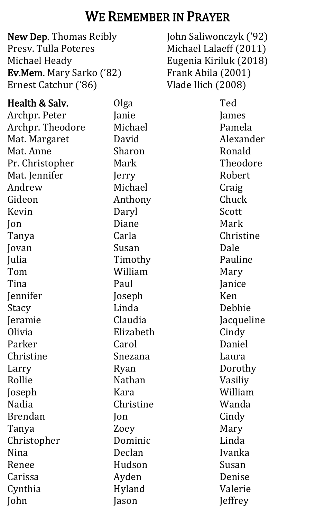#### WE REMEMBER IN PRAYER

New Dep. Thomas Reibly Presv. Tulla Poteres Michael Heady Ev.Mem. Mary Sarko ('82) Ernest Catchur ('86)

John Saliwonczyk ('92) Michael Lalaeff (2011) Eugenia Kiriluk (2018) Frank Abila (2001) Vlade Ilich (2008)

| Health & Salv.   | Olga           | Ted        |
|------------------|----------------|------------|
| Archpr. Peter    | Janie          | James      |
| Archpr. Theodore | Michael        | Pamela     |
| Mat. Margaret    | David          | Alexander  |
| Mat. Anne        | Sharon         | Ronald     |
| Pr. Christopher  | Mark           | Theodore   |
| Mat. Jennifer    | Jerry          | Robert     |
| Andrew           | Michael        | Craig      |
| Gideon           | Anthony        | Chuck      |
| Kevin            | Daryl          | Scott      |
| Jon              | Diane          | Mark       |
| Tanya            | Carla          | Christine  |
| Jovan            | Susan          | Dale       |
| Julia            | Timothy        | Pauline    |
| Tom              | William        | Mary       |
| Tina             | Paul           | Janice     |
| Jennifer         | Joseph         | Ken        |
| Stacy            | Linda          | Debbie     |
| Jeramie          | Claudia        | Jacqueline |
| Olivia           | Elizabeth      | Cindy      |
| Parker           | Carol          | Daniel     |
| Christine        | Snezana        | Laura      |
| Larry            | Ryan           | Dorothy    |
| Rollie           | Nathan         | Vasiliy    |
| Joseph           | Kara           | William    |
| Nadia            | Christine      | Wanda      |
| <b>Brendan</b>   | $\mathsf{lon}$ | Cindy      |
| Tanya            | Zoey           | Mary       |
| Christopher      | Dominic        | Linda      |
| Nina             | Declan         | Ivanka     |
| Renee            | Hudson         | Susan      |
| Carissa          | Ayden          | Denise     |
| Cynthia          | Hyland         | Valerie    |
| John             | Jason          | Jeffrey    |
|                  |                |            |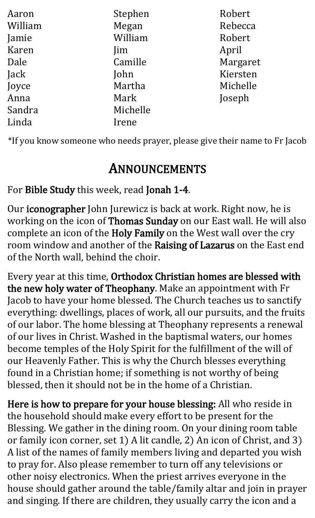| Aaron   | Stephen    | Robert   |
|---------|------------|----------|
| William | Megan      | Rebecca  |
| Jamie   | William    | Robert   |
| Karen   | <i>lim</i> | April    |
| Dale    | Camille    | Margaret |
| Jack    | John       | Kiersten |
| Joyce   | Martha     | Michelle |
| Anna    | Mark       | Joseph   |
| Sandra  | Michelle   |          |
| Linda   | Irene      |          |

\*If you know someone who needs prayer, please give their name to Fr Jacob

#### ANNOUNCEMENTS

For Bible Study this week, read Jonah 1-4.

Our iconographer John Jurewicz is back at work. Right now, he is working on the icon of Thomas Sunday on our East wall. He will also complete an icon of the Holy Family on the West wall over the cry room window and another of the Raising of Lazarus on the East end of the North wall, behind the choir.

Every year at this time, Orthodox Christian homes are blessed with the new holy water of Theophany. Make an appointment with Fr Jacob to have your home blessed. The Church teaches us to sanctify everything: dwellings, places of work, all our pursuits, and the fruits of our labor. The home blessing at Theophany represents a renewal of our lives in Christ. Washed in the baptismal waters, our homes become temples of the Holy Spirit for the fulfillment of the will of our Heavenly Father. This is why the Church blesses everything found in a Christian home; if something is not worthy of being blessed, then it should not be in the home of a Christian.

Here is how to prepare for your house blessing: All who reside in the household should make every effort to be present for the Blessing. We gather in the dining room. On your dining room table or family icon corner, set 1) A lit candle, 2) An icon of Christ, and 3) A list of the names of family members living and departed you wish to pray for. Also please remember to turn off any televisions or other noisy electronics. When the priest arrives everyone in the house should gather around the table/family altar and join in prayer and singing. If there are children, they usually carry the icon and a